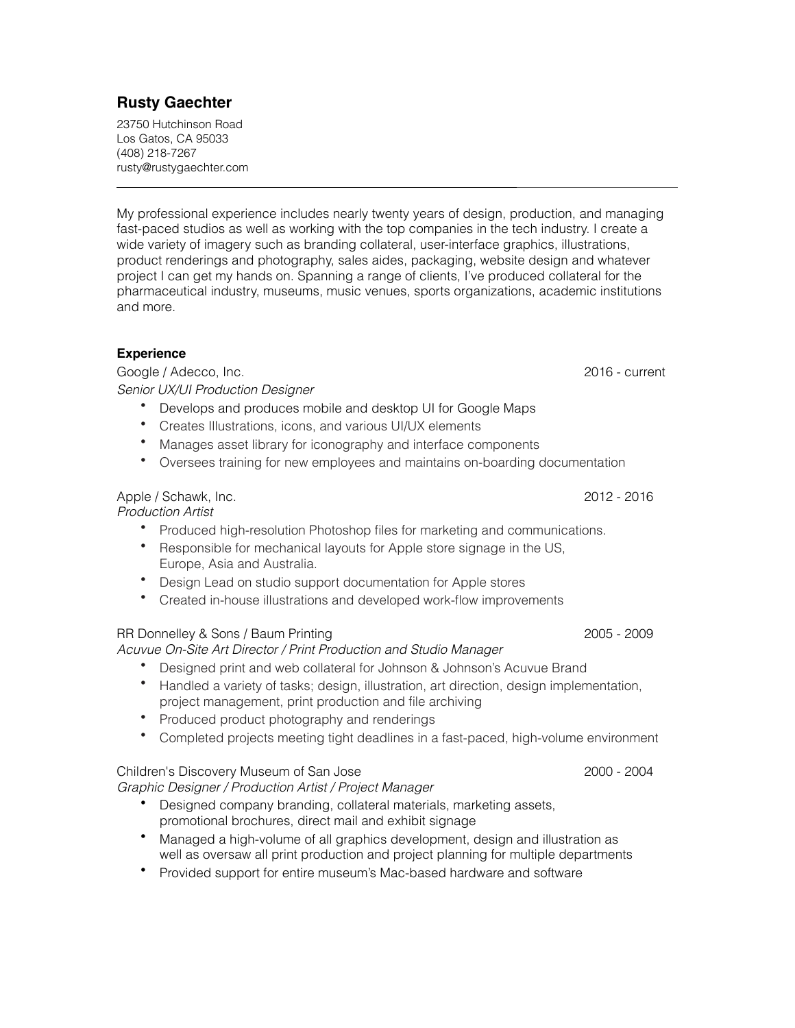# **Rusty Gaechter**

23750 Hutchinson Road Los Gatos, CA 95033 (408) 218-7267 rusty@rustygaechter.com

My professional experience includes nearly twenty years of design, production, and managing fast-paced studios as well as working with the top companies in the tech industry. I create a wide variety of imagery such as branding collateral, user-interface graphics, illustrations, product renderings and photography, sales aides, packaging, website design and whatever project I can get my hands on. Spanning a range of clients, I've produced collateral for the pharmaceutical industry, museums, music venues, sports organizations, academic institutions and more.

### **Experience**

 $\overline{a}$ 

Google / Adecco, Inc. 2016 - current and a set of the Contract of the Contract of the Contract of the Contract of the Contract of the Contract of the Contract of the Contract of the Contract of the Contract of the Contract *Senior UX/UI Production Designer*

- Develops and produces mobile and desktop UI for Google Maps
- Creates Illustrations, icons, and various UI/UX elements
- Manages asset library for iconography and interface components
- Oversees training for new employees and maintains on-boarding documentation

Apple / Schawk, Inc. 2012 - 2016 *Production Artist*

- Produced high-resolution Photoshop files for marketing and communications.
- Responsible for mechanical layouts for Apple store signage in the US, Europe, Asia and Australia.
- Design Lead on studio support documentation for Apple stores
- Created in-house illustrations and developed work-flow improvements

### RR Donnelley & Sons / Baum Printing 2005 - 2009

## *Acuvue On-Site Art Director / Print Production and Studio Manager*

- Designed print and web collateral for Johnson & Johnson's Acuvue Brand
- Handled a variety of tasks; design, illustration, art direction, design implementation, project management, print production and file archiving
- Produced product photography and renderings
- Completed projects meeting tight deadlines in a fast-paced, high-volume environment

## Children's Discovery Museum of San Jose 2000 - 2004

*Graphic Designer / Production Artist / Project Manager*

- Designed company branding, collateral materials, marketing assets, promotional brochures, direct mail and exhibit signage
- Managed a high-volume of all graphics development, design and illustration as well as oversaw all print production and project planning for multiple departments
- Provided support for entire museum's Mac-based hardware and software